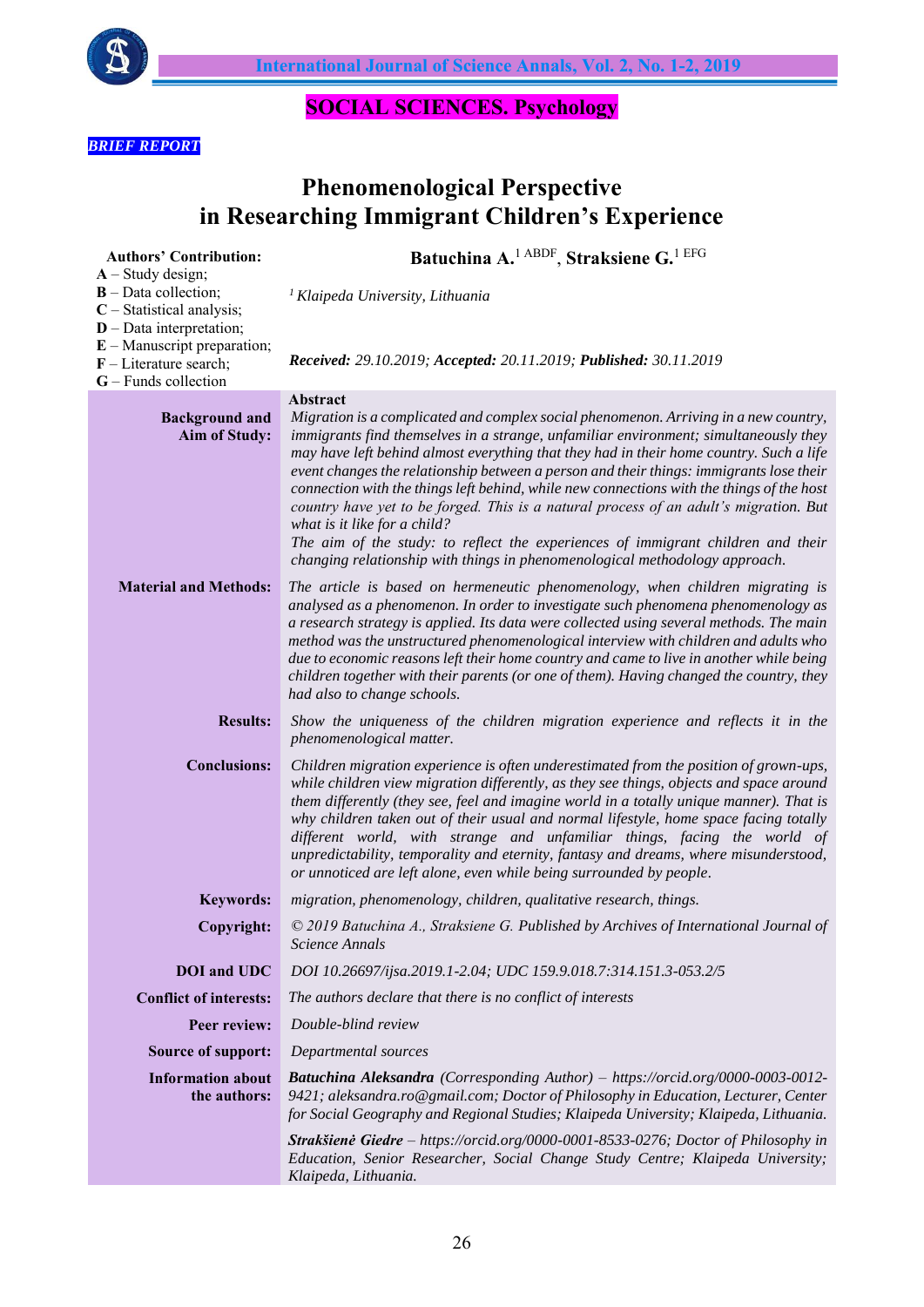

# **SOCIAL SCIENCES. Psychology**

# *BRIEF REPORT*

# **Phenomenological Perspective in Researching Immigrant Children's Experience**

| <b>Authors' Contribution:</b>                                                                              | Batuchina A. <sup>1 ABDF</sup> , Straksiene G. <sup>1 EFG</sup>                                                                                                                                                                                                                                                                                                                                                                                                                                                                                                                                                 |
|------------------------------------------------------------------------------------------------------------|-----------------------------------------------------------------------------------------------------------------------------------------------------------------------------------------------------------------------------------------------------------------------------------------------------------------------------------------------------------------------------------------------------------------------------------------------------------------------------------------------------------------------------------------------------------------------------------------------------------------|
| $A - Study design;$<br>$B$ – Data collection;<br>$C$ – Statistical analysis;<br>$D$ – Data interpretation; | <sup>1</sup> Klaipeda University, Lithuania                                                                                                                                                                                                                                                                                                                                                                                                                                                                                                                                                                     |
| $E$ – Manuscript preparation;<br>$F$ – Literature search;<br>$G$ – Funds collection                        | Received: 29.10.2019; Accepted: 20.11.2019; Published: 30.11.2019                                                                                                                                                                                                                                                                                                                                                                                                                                                                                                                                               |
|                                                                                                            | Abstract                                                                                                                                                                                                                                                                                                                                                                                                                                                                                                                                                                                                        |
| <b>Background and</b><br>Aim of Study:                                                                     | Migration is a complicated and complex social phenomenon. Arriving in a new country,<br>immigrants find themselves in a strange, unfamiliar environment; simultaneously they<br>may have left behind almost everything that they had in their home country. Such a life<br>event changes the relationship between a person and their things: immigrants lose their<br>connection with the things left behind, while new connections with the things of the host<br>country have yet to be forged. This is a natural process of an adult's migration. But<br>what is it like for a child?                        |
|                                                                                                            | The aim of the study: to reflect the experiences of immigrant children and their<br>changing relationship with things in phenomenological methodology approach.                                                                                                                                                                                                                                                                                                                                                                                                                                                 |
| <b>Material and Methods:</b>                                                                               | The article is based on hermeneutic phenomenology, when children migrating is<br>analysed as a phenomenon. In order to investigate such phenomena phenomenology as<br>a research strategy is applied. Its data were collected using several methods. The main<br>method was the unstructured phenomenological interview with children and adults who<br>due to economic reasons left their home country and came to live in another while being<br>children together with their parents (or one of them). Having changed the country, they<br>had also to change schools.                                       |
| <b>Results:</b>                                                                                            | Show the uniqueness of the children migration experience and reflects it in the<br>phenomenological matter.                                                                                                                                                                                                                                                                                                                                                                                                                                                                                                     |
| <b>Conclusions:</b>                                                                                        | Children migration experience is often underestimated from the position of grown-ups,<br>while children view migration differently, as they see things, objects and space around<br>them differently (they see, feel and imagine world in a totally unique manner). That is<br>why children taken out of their usual and normal lifestyle, home space facing totally<br>different world, with strange and unfamiliar things, facing the world of<br>unpredictability, temporality and eternity, fantasy and dreams, where misunderstood,<br>or unnoticed are left alone, even while being surrounded by people. |
| <b>Keywords:</b>                                                                                           | migration, phenomenology, children, qualitative research, things.                                                                                                                                                                                                                                                                                                                                                                                                                                                                                                                                               |
| Copyright:                                                                                                 | © 2019 Batuchina A., Straksiene G. Published by Archives of International Journal of<br>Science Annals                                                                                                                                                                                                                                                                                                                                                                                                                                                                                                          |
| <b>DOI</b> and UDC                                                                                         | DOI 10.26697/ijsa.2019.1-2.04; UDC 159.9.018.7:314.151.3-053.2/5                                                                                                                                                                                                                                                                                                                                                                                                                                                                                                                                                |
| <b>Conflict of interests:</b>                                                                              | The authors declare that there is no conflict of interests                                                                                                                                                                                                                                                                                                                                                                                                                                                                                                                                                      |
| Peer review:                                                                                               | Double-blind review                                                                                                                                                                                                                                                                                                                                                                                                                                                                                                                                                                                             |
| <b>Source of support:</b>                                                                                  | Departmental sources                                                                                                                                                                                                                                                                                                                                                                                                                                                                                                                                                                                            |
| <b>Information about</b><br>the authors:                                                                   | Batuchina Aleksandra (Corresponding Author) - https://orcid.org/0000-0003-0012-<br>9421; aleksandra.ro@gmail.com; Doctor of Philosophy in Education, Lecturer, Center<br>for Social Geography and Regional Studies; Klaipeda University; Klaipeda, Lithuania.                                                                                                                                                                                                                                                                                                                                                   |
|                                                                                                            | Strakšienė Giedre – https://orcid.org/0000-0001-8533-0276; Doctor of Philosophy in<br>Education, Senior Researcher, Social Change Study Centre; Klaipeda University;<br>Klaipeda, Lithuania.                                                                                                                                                                                                                                                                                                                                                                                                                    |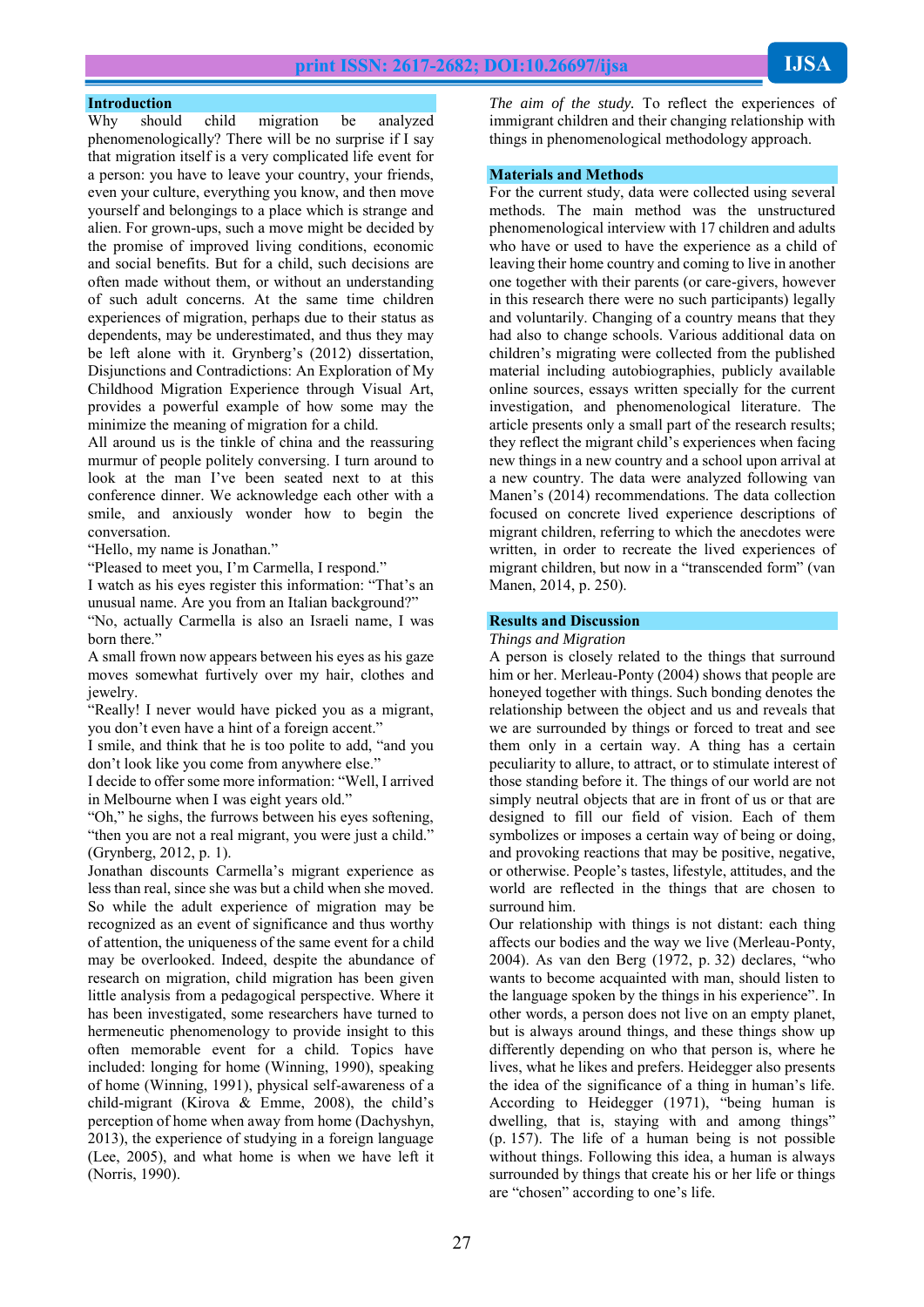#### **Introduction**

Why should child migration be analyzed phenomenologically? There will be no surprise if I say that migration itself is a very complicated life event for a person: you have to leave your country, your friends, even your culture, everything you know, and then move yourself and belongings to a place which is strange and alien. For grown-ups, such a move might be decided by the promise of improved living conditions, economic and social benefits. But for a child, such decisions are often made without them, or without an understanding of such adult concerns. At the same time children experiences of migration, perhaps due to their status as dependents, may be underestimated, and thus they may be left alone with it. Grynberg's (2012) dissertation, Disjunctions and Contradictions: An Exploration of My Childhood Migration Experience through Visual Art, provides a powerful example of how some may the minimize the meaning of migration for a child.

All around us is the tinkle of china and the reassuring murmur of people politely conversing. I turn around to look at the man I've been seated next to at this conference dinner. We acknowledge each other with a smile, and anxiously wonder how to begin the conversation.

"Hello, my name is Jonathan."

"Pleased to meet you, I'm Carmella, I respond."

I watch as his eyes register this information: "That's an unusual name. Are you from an Italian background?" "No, actually Carmella is also an Israeli name, I was

born there."

A small frown now appears between his eyes as his gaze moves somewhat furtively over my hair, clothes and jewelry.

"Really! I never would have picked you as a migrant, you don't even have a hint of a foreign accent."

I smile, and think that he is too polite to add, "and you don't look like you come from anywhere else.'

I decide to offer some more information: "Well, I arrived in Melbourne when I was eight years old."

"Oh," he sighs, the furrows between his eyes softening, "then you are not a real migrant, you were just a child." (Grynberg, 2012, p. 1).

Jonathan discounts Carmella's migrant experience as less than real, since she was but a child when she moved. So while the adult experience of migration may be recognized as an event of significance and thus worthy of attention, the uniqueness of the same event for a child may be overlooked. Indeed, despite the abundance of research on migration, child migration has been given little analysis from a pedagogical perspective. Where it has been investigated, some researchers have turned to hermeneutic phenomenology to provide insight to this often memorable event for a child. Topics have included: longing for home (Winning, 1990), speaking of home (Winning, 1991), physical self-awareness of a child-migrant (Kirova & Emme, 2008), the child's perception of home when away from home (Dachyshyn, 2013), the experience of studying in a foreign language (Lee, 2005), and what home is when we have left it (Norris, 1990).

*The aim of the study.* To reflect the experiences of immigrant children and their changing relationship with things in phenomenological methodology approach.

#### **Materials and Methods**

For the current study, data were collected using several methods. The main method was the unstructured phenomenological interview with 17 children and adults who have or used to have the experience as a child of leaving their home country and coming to live in another one together with their parents (or care-givers, however in this research there were no such participants) legally and voluntarily. Changing of a country means that they had also to change schools. Various additional data on children's migrating were collected from the published material including autobiographies, publicly available online sources, essays written specially for the current investigation, and phenomenological literature. The article presents only a small part of the research results; they reflect the migrant child's experiences when facing new things in a new country and a school upon arrival at a new country. The data were analyzed following van Manen's (2014) recommendations. The data collection focused on concrete lived experience descriptions of migrant children, referring to which the anecdotes were written, in order to recreate the lived experiences of migrant children, but now in a "transcended form" (van Manen, 2014, p. 250).

## **Results and Discussion**

*Things and Migration*

A person is closely related to the things that surround him or her. Merleau-Ponty (2004) shows that people are honeyed together with things. Such bonding denotes the relationship between the object and us and reveals that we are surrounded by things or forced to treat and see them only in a certain way. A thing has a certain peculiarity to allure, to attract, or to stimulate interest of those standing before it. The things of our world are not simply neutral objects that are in front of us or that are designed to fill our field of vision. Each of them symbolizes or imposes a certain way of being or doing, and provoking reactions that may be positive, negative, or otherwise. People's tastes, lifestyle, attitudes, and the world are reflected in the things that are chosen to surround him.

Our relationship with things is not distant: each thing affects our bodies and the way we live (Merleau-Ponty, 2004). As van den Berg (1972, p. 32) declares, "who wants to become acquainted with man, should listen to the language spoken by the things in his experience". In other words, a person does not live on an empty planet, but is always around things, and these things show up differently depending on who that person is, where he lives, what he likes and prefers. Heidegger also presents the idea of the significance of a thing in human's life. According to Heidegger (1971), "being human is dwelling, that is, staying with and among things" (p. 157). The life of a human being is not possible without things. Following this idea, a human is always surrounded by things that create his or her life or things are "chosen" according to one's life.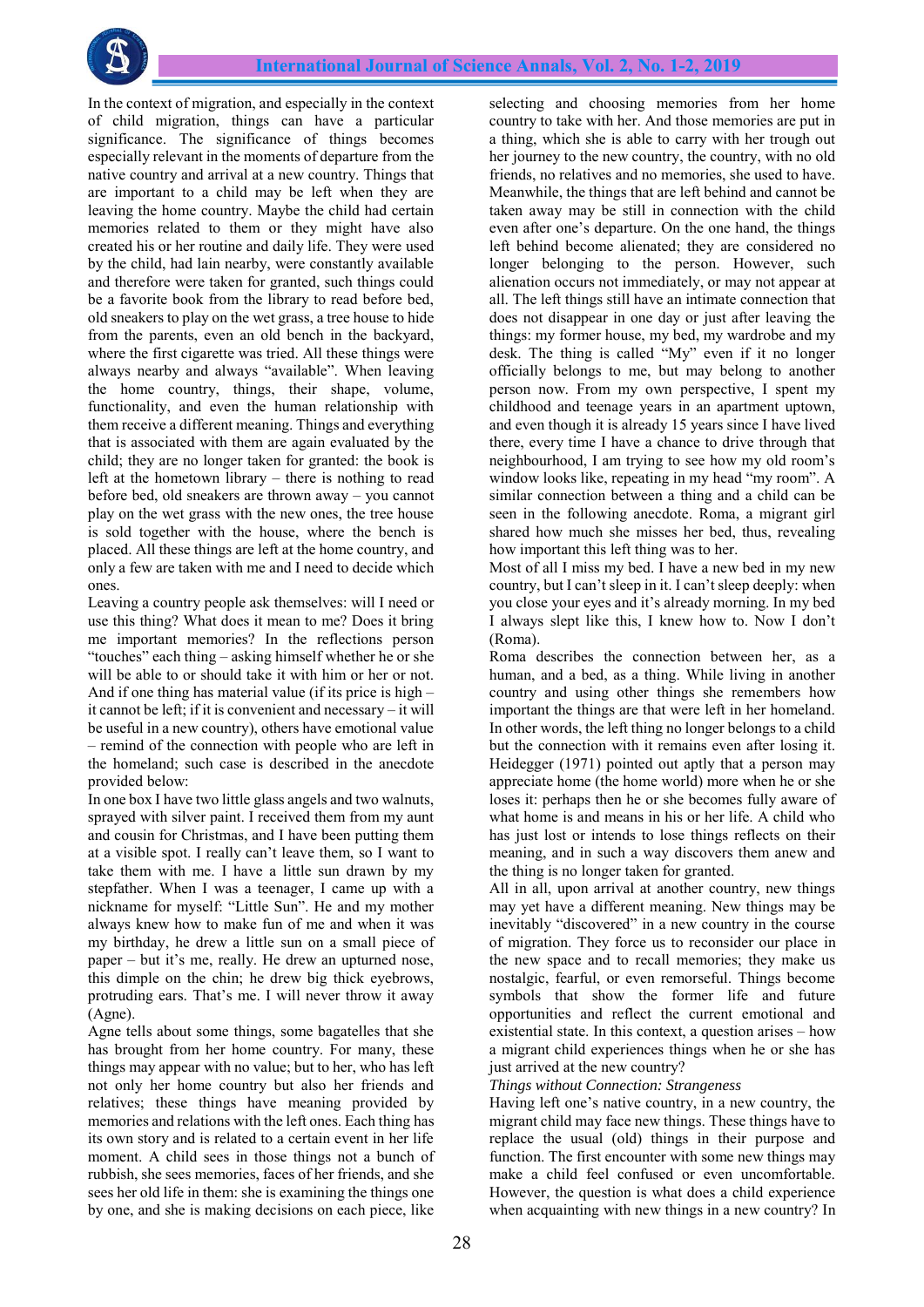

In the context of migration, and especially in the context of child migration, things can have a particular significance. The significance of things becomes especially relevant in the moments of departure from the native country and arrival at a new country. Things that are important to a child may be left when they are leaving the home country. Maybe the child had certain memories related to them or they might have also created his or her routine and daily life. They were used by the child, had lain nearby, were constantly available and therefore were taken for granted, such things could be a favorite book from the library to read before bed, old sneakers to play on the wet grass, a tree house to hide from the parents, even an old bench in the backyard, where the first cigarette was tried. All these things were always nearby and always "available". When leaving the home country, things, their shape, volume, functionality, and even the human relationship with them receive a different meaning. Things and everything that is associated with them are again evaluated by the child; they are no longer taken for granted: the book is left at the hometown library – there is nothing to read before bed, old sneakers are thrown away – you cannot play on the wet grass with the new ones, the tree house is sold together with the house, where the bench is placed. All these things are left at the home country, and only a few are taken with me and I need to decide which ones.

Leaving a country people ask themselves: will I need or use this thing? What does it mean to me? Does it bring me important memories? In the reflections person "touches" each thing – asking himself whether he or she will be able to or should take it with him or her or not. And if one thing has material value (if its price is high – it cannot be left; if it is convenient and necessary – it will be useful in a new country), others have emotional value – remind of the connection with people who are left in the homeland; such case is described in the anecdote provided below:

In one box I have two little glass angels and two walnuts, sprayed with silver paint. I received them from my aunt and cousin for Christmas, and I have been putting them at a visible spot. I really can't leave them, so I want to take them with me. I have a little sun drawn by my stepfather. When I was a teenager, I came up with a nickname for myself: "Little Sun". He and my mother always knew how to make fun of me and when it was my birthday, he drew a little sun on a small piece of paper – but it's me, really. He drew an upturned nose, this dimple on the chin; he drew big thick eyebrows, protruding ears. That's me. I will never throw it away (Agne).

Agne tells about some things, some bagatelles that she has brought from her home country. For many, these things may appear with no value; but to her, who has left not only her home country but also her friends and relatives; these things have meaning provided by memories and relations with the left ones. Each thing has its own story and is related to a certain event in her life moment. A child sees in those things not a bunch of rubbish, she sees memories, faces of her friends, and she sees her old life in them: she is examining the things one by one, and she is making decisions on each piece, like

selecting and choosing memories from her home country to take with her. And those memories are put in a thing, which she is able to carry with her trough out her journey to the new country, the country, with no old friends, no relatives and no memories, she used to have. Meanwhile, the things that are left behind and cannot be taken away may be still in connection with the child even after one's departure. On the one hand, the things left behind become alienated; they are considered no longer belonging to the person. However, such alienation occurs not immediately, or may not appear at all. The left things still have an intimate connection that does not disappear in one day or just after leaving the things: my former house, my bed, my wardrobe and my desk. The thing is called "My" even if it no longer officially belongs to me, but may belong to another person now. From my own perspective, I spent my childhood and teenage years in an apartment uptown, and even though it is already 15 years since I have lived there, every time I have a chance to drive through that neighbourhood, I am trying to see how my old room's window looks like, repeating in my head "my room". A similar connection between a thing and a child can be seen in the following anecdote. Roma, a migrant girl shared how much she misses her bed, thus, revealing how important this left thing was to her.

Most of all I miss my bed. I have a new bed in my new country, but I can't sleep in it. I can't sleep deeply: when you close your eyes and it's already morning. In my bed I always slept like this, I knew how to. Now I don't (Roma).

Roma describes the connection between her, as a human, and a bed, as a thing. While living in another country and using other things she remembers how important the things are that were left in her homeland. In other words, the left thing no longer belongs to a child but the connection with it remains even after losing it. Heidegger (1971) pointed out aptly that a person may appreciate home (the home world) more when he or she loses it: perhaps then he or she becomes fully aware of what home is and means in his or her life. A child who has just lost or intends to lose things reflects on their meaning, and in such a way discovers them anew and the thing is no longer taken for granted.

All in all, upon arrival at another country, new things may yet have a different meaning. New things may be inevitably "discovered" in a new country in the course of migration. They force us to reconsider our place in the new space and to recall memories; they make us nostalgic, fearful, or even remorseful. Things become symbols that show the former life and future opportunities and reflect the current emotional and existential state. In this context, a question arises – how a migrant child experiences things when he or she has just arrived at the new country?

*Things without Connection: Strangeness*

Having left one's native country, in a new country, the migrant child may face new things. These things have to replace the usual (old) things in their purpose and function. The first encounter with some new things may make a child feel confused or even uncomfortable. However, the question is what does a child experience when acquainting with new things in a new country? In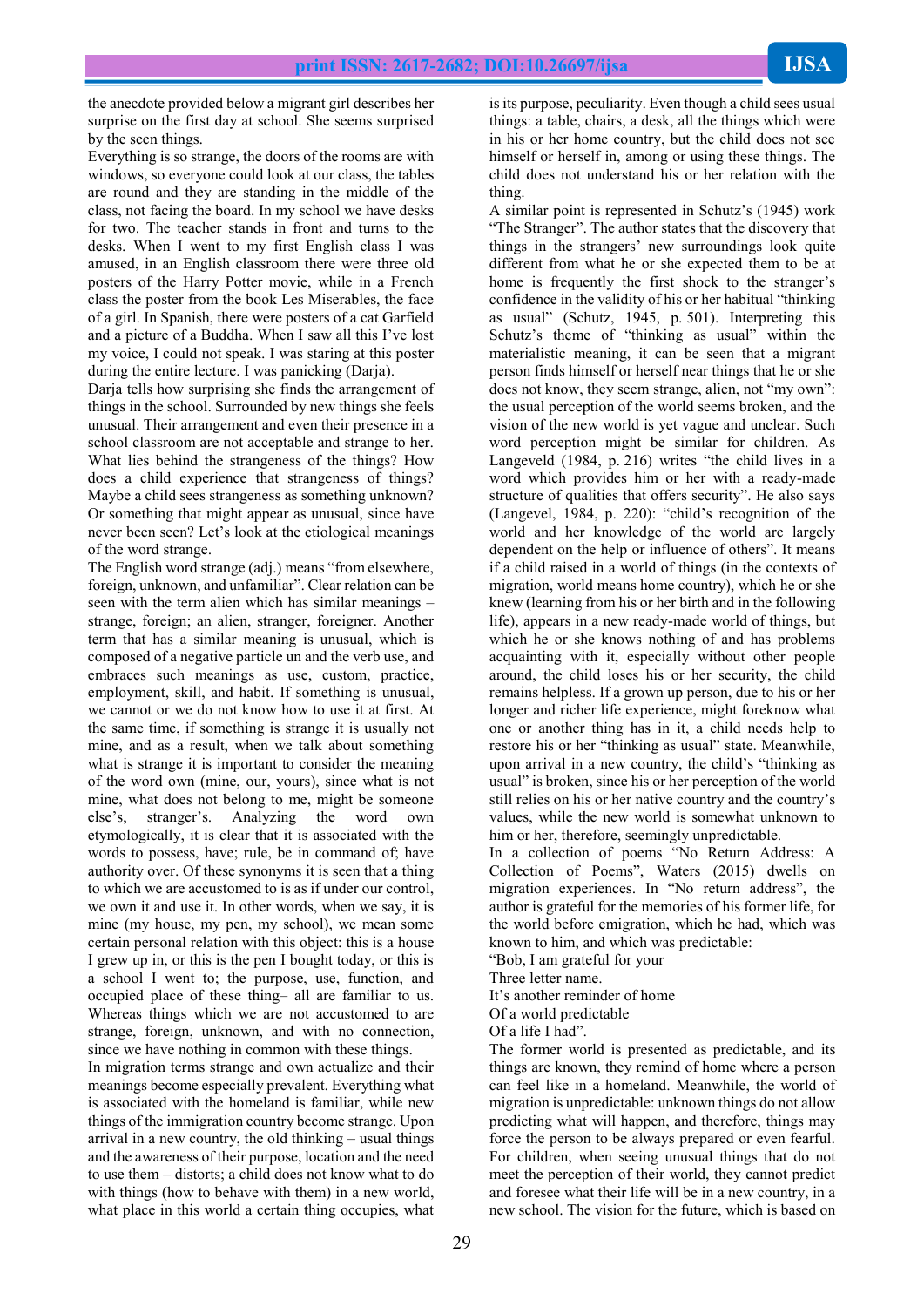the anecdote provided below a migrant girl describes her surprise on the first day at school. She seems surprised by the seen things.

Everything is so strange, the doors of the rooms are with windows, so everyone could look at our class, the tables are round and they are standing in the middle of the class, not facing the board. In my school we have desks for two. The teacher stands in front and turns to the desks. When I went to my first English class I was amused, in an English classroom there were three old posters of the Harry Potter movie, while in a French class the poster from the book Les Miserables, the face of a girl. In Spanish, there were posters of a cat Garfield and a picture of a Buddha. When I saw all this I've lost my voice, I could not speak. I was staring at this poster during the entire lecture. I was panicking (Darja).

Darja tells how surprising she finds the arrangement of things in the school. Surrounded by new things she feels unusual. Their arrangement and even their presence in a school classroom are not acceptable and strange to her. What lies behind the strangeness of the things? How does a child experience that strangeness of things? Maybe a child sees strangeness as something unknown? Or something that might appear as unusual, since have never been seen? Let's look at the etiological meanings of the word strange.

The English word strange (adj.) means "from elsewhere, foreign, unknown, and unfamiliar". Clear relation can be seen with the term alien which has similar meanings – strange, foreign; an alien, stranger, foreigner. Another term that has a similar meaning is unusual, which is composed of a negative particle un and the verb use, and embraces such meanings as use, custom, practice, employment, skill, and habit. If something is unusual, we cannot or we do not know how to use it at first. At the same time, if something is strange it is usually not mine, and as a result, when we talk about something what is strange it is important to consider the meaning of the word own (mine, our, yours), since what is not mine, what does not belong to me, might be someone else's, stranger's. Analyzing the word own etymologically, it is clear that it is associated with the words to possess, have; rule, be in command of; have authority over. Of these synonyms it is seen that a thing to which we are accustomed to is as if under our control, we own it and use it. In other words, when we say, it is mine (my house, my pen, my school), we mean some certain personal relation with this object: this is a house I grew up in, or this is the pen I bought today, or this is a school I went to; the purpose, use, function, and occupied place of these thing– all are familiar to us. Whereas things which we are not accustomed to are strange, foreign, unknown, and with no connection, since we have nothing in common with these things.

In migration terms strange and own actualize and their meanings become especially prevalent. Everything what is associated with the homeland is familiar, while new things of the immigration country become strange. Upon arrival in a new country, the old thinking – usual things and the awareness of their purpose, location and the need to use them – distorts; a child does not know what to do with things (how to behave with them) in a new world, what place in this world a certain thing occupies, what

is its purpose, peculiarity. Even though a child sees usual things: a table, chairs, a desk, all the things which were in his or her home country, but the child does not see himself or herself in, among or using these things. The child does not understand his or her relation with the thing.

A similar point is represented in Schutz's (1945) work "The Stranger". The author states that the discovery that things in the strangers' new surroundings look quite different from what he or she expected them to be at home is frequently the first shock to the stranger's confidence in the validity of his or her habitual "thinking as usual" (Schutz, 1945, p. 501). Interpreting this Schutz's theme of "thinking as usual" within the materialistic meaning, it can be seen that a migrant person finds himself or herself near things that he or she does not know, they seem strange, alien, not "my own": the usual perception of the world seems broken, and the vision of the new world is yet vague and unclear. Such word perception might be similar for children. As Langeveld (1984, p. 216) writes "the child lives in a word which provides him or her with a ready-made structure of qualities that offers security". He also says (Langevel, 1984, p. 220): "child's recognition of the world and her knowledge of the world are largely dependent on the help or influence of others". It means if a child raised in a world of things (in the contexts of migration, world means home country), which he or she knew (learning from his or her birth and in the following life), appears in a new ready-made world of things, but which he or she knows nothing of and has problems acquainting with it, especially without other people around, the child loses his or her security, the child remains helpless. If a grown up person, due to his or her longer and richer life experience, might foreknow what one or another thing has in it, a child needs help to restore his or her "thinking as usual" state. Meanwhile, upon arrival in a new country, the child's "thinking as usual" is broken, since his or her perception of the world still relies on his or her native country and the country's values, while the new world is somewhat unknown to him or her, therefore, seemingly unpredictable.

In a collection of poems "No Return Address: A Collection of Poems", Waters (2015) dwells on migration experiences. In "No return address", the author is grateful for the memories of his former life, for the world before emigration, which he had, which was known to him, and which was predictable:

"Bob, I am grateful for your

Three letter name.

It's another reminder of home

Of a world predictable

Of a life I had".

The former world is presented as predictable, and its things are known, they remind of home where a person can feel like in a homeland. Meanwhile, the world of migration is unpredictable: unknown things do not allow predicting what will happen, and therefore, things may force the person to be always prepared or even fearful. For children, when seeing unusual things that do not meet the perception of their world, they cannot predict and foresee what their life will be in a new country, in a new school. The vision for the future, which is based on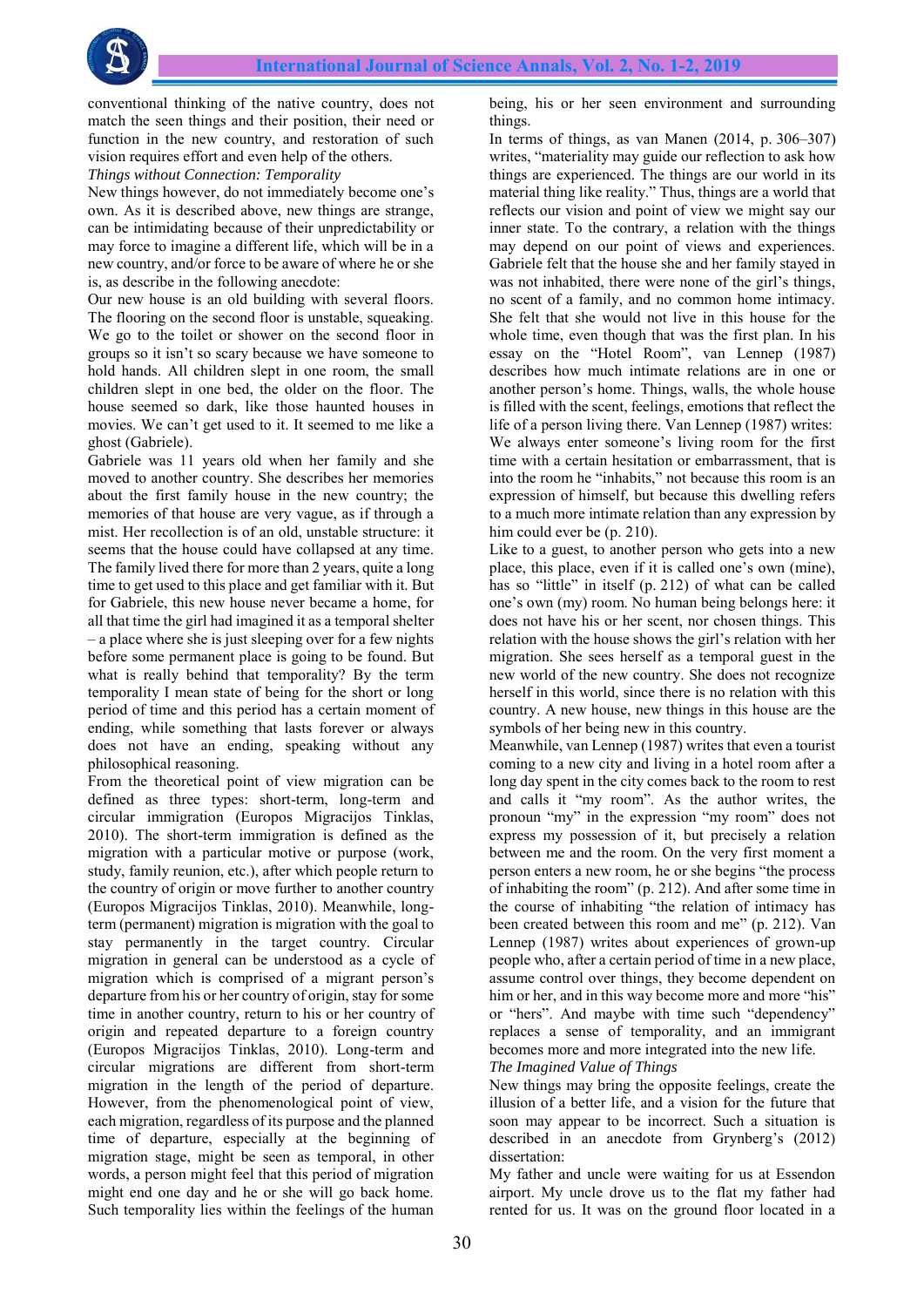

conventional thinking of the native country, does not match the seen things and their position, their need or function in the new country, and restoration of such vision requires effort and even help of the others.

*Things without Connection: Temporality*

New things however, do not immediately become one's own. As it is described above, new things are strange, can be intimidating because of their unpredictability or may force to imagine a different life, which will be in a new country, and/or force to be aware of where he or she is, as describe in the following anecdote:

Our new house is an old building with several floors. The flooring on the second floor is unstable, squeaking. We go to the toilet or shower on the second floor in groups so it isn't so scary because we have someone to hold hands. All children slept in one room, the small children slept in one bed, the older on the floor. The house seemed so dark, like those haunted houses in movies. We can't get used to it. It seemed to me like a ghost (Gabriele).

Gabriele was 11 years old when her family and she moved to another country. She describes her memories about the first family house in the new country; the memories of that house are very vague, as if through a mist. Her recollection is of an old, unstable structure: it seems that the house could have collapsed at any time. The family lived there for more than 2 years, quite a long time to get used to this place and get familiar with it. But for Gabriele, this new house never became a home, for all that time the girl had imagined it as a temporal shelter – a place where she is just sleeping over for a few nights before some permanent place is going to be found. But what is really behind that temporality? By the term temporality I mean state of being for the short or long period of time and this period has a certain moment of ending, while something that lasts forever or always does not have an ending, speaking without any philosophical reasoning.

From the theoretical point of view migration can be defined as three types: short-term, long-term and circular immigration (Europos Migracijos Tinklas, 2010). The short-term immigration is defined as the migration with a particular motive or purpose (work, study, family reunion, etc.), after which people return to the country of origin or move further to another country (Europos Migracijos Tinklas, 2010). Meanwhile, longterm (permanent) migration is migration with the goal to stay permanently in the target country. Circular migration in general can be understood as a cycle of migration which is comprised of a migrant person's departure from his or her country of origin, stay for some time in another country, return to his or her country of origin and repeated departure to a foreign country (Europos Migracijos Tinklas, 2010). Long-term and circular migrations are different from short-term migration in the length of the period of departure. However, from the phenomenological point of view, each migration, regardless of its purpose and the planned time of departure, especially at the beginning of migration stage, might be seen as temporal, in other words, a person might feel that this period of migration might end one day and he or she will go back home. Such temporality lies within the feelings of the human

being, his or her seen environment and surrounding things.

In terms of things, as van Manen (2014, p. 306–307) writes, "materiality may guide our reflection to ask how things are experienced. The things are our world in its material thing like reality." Thus, things are a world that reflects our vision and point of view we might say our inner state. To the contrary, a relation with the things may depend on our point of views and experiences. Gabriele felt that the house she and her family stayed in was not inhabited, there were none of the girl's things, no scent of a family, and no common home intimacy. She felt that she would not live in this house for the whole time, even though that was the first plan. In his essay on the "Hotel Room", van Lennep (1987) describes how much intimate relations are in one or another person's home. Things, walls, the whole house is filled with the scent, feelings, emotions that reflect the life of a person living there. Van Lennep (1987) writes: We always enter someone's living room for the first time with a certain hesitation or embarrassment, that is into the room he "inhabits," not because this room is an expression of himself, but because this dwelling refers to a much more intimate relation than any expression by him could ever be (p. 210).

Like to a guest, to another person who gets into a new place, this place, even if it is called one's own (mine), has so "little" in itself (p. 212) of what can be called one's own (my) room. No human being belongs here: it does not have his or her scent, nor chosen things. This relation with the house shows the girl's relation with her migration. She sees herself as a temporal guest in the new world of the new country. She does not recognize herself in this world, since there is no relation with this country. A new house, new things in this house are the symbols of her being new in this country.

Meanwhile, van Lennep (1987) writes that even a tourist coming to a new city and living in a hotel room after a long day spent in the city comes back to the room to rest and calls it "my room". As the author writes, the pronoun "my" in the expression "my room" does not express my possession of it, but precisely a relation between me and the room. On the very first moment a person enters a new room, he or she begins "the process of inhabiting the room" (p. 212). And after some time in the course of inhabiting "the relation of intimacy has been created between this room and me" (p. 212). Van Lennep (1987) writes about experiences of grown-up people who, after a certain period of time in a new place, assume control over things, they become dependent on him or her, and in this way become more and more "his" or "hers". And maybe with time such "dependency" replaces a sense of temporality, and an immigrant becomes more and more integrated into the new life. *The Imagined Value of Things*

New things may bring the opposite feelings, create the illusion of a better life, and a vision for the future that soon may appear to be incorrect. Such a situation is described in an anecdote from Grynberg's (2012) dissertation:

My father and uncle were waiting for us at Essendon airport. My uncle drove us to the flat my father had rented for us. It was on the ground floor located in a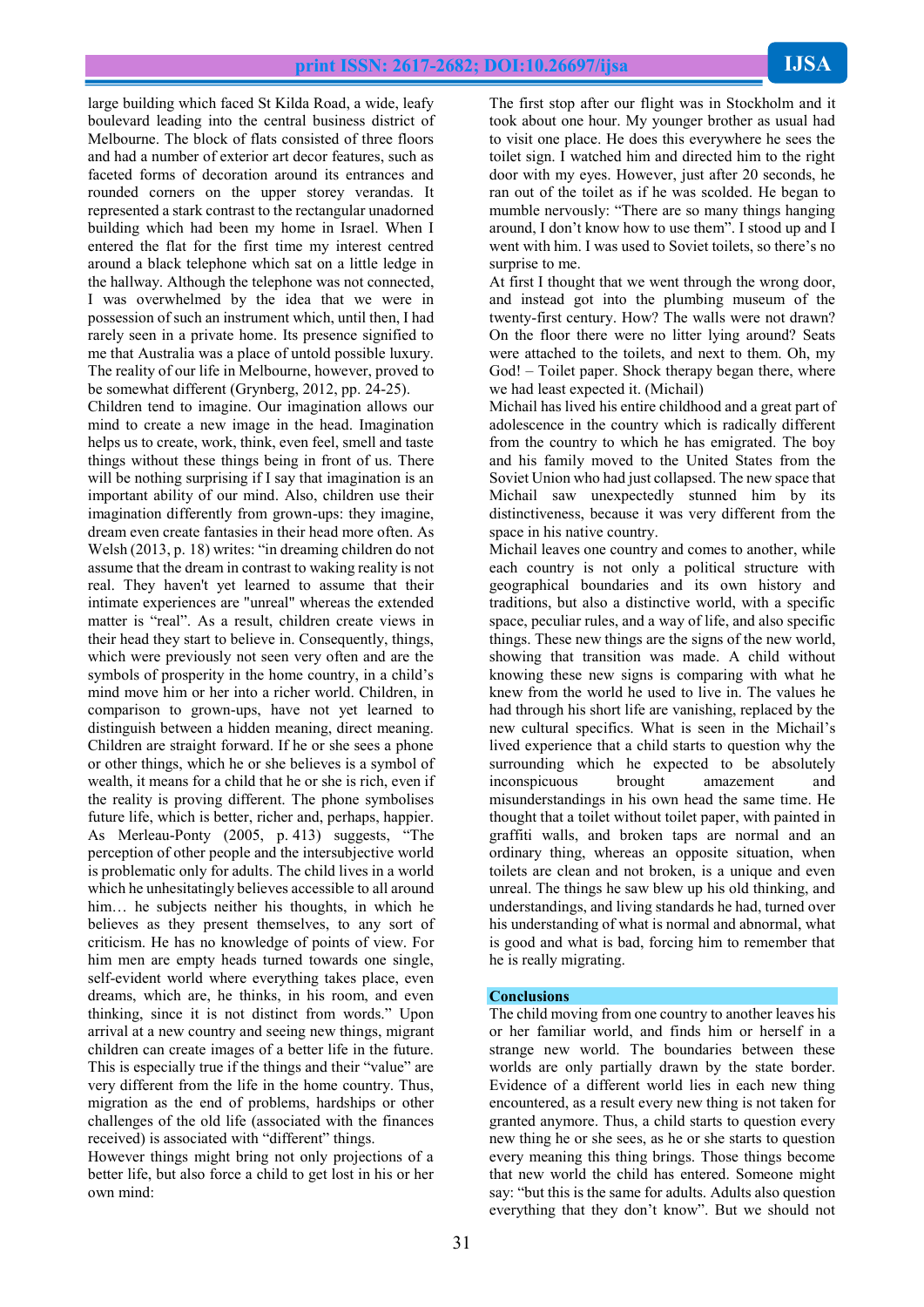large building which faced St Kilda Road, a wide, leafy boulevard leading into the central business district of Melbourne. The block of flats consisted of three floors and had a number of exterior art decor features, such as faceted forms of decoration around its entrances and rounded corners on the upper storey verandas. It represented a stark contrast to the rectangular unadorned building which had been my home in Israel. When I entered the flat for the first time my interest centred around a black telephone which sat on a little ledge in the hallway. Although the telephone was not connected, I was overwhelmed by the idea that we were in possession of such an instrument which, until then, I had rarely seen in a private home. Its presence signified to me that Australia was a place of untold possible luxury. The reality of our life in Melbourne, however, proved to be somewhat different (Grynberg, 2012, pp. 24-25).

Children tend to imagine. Our imagination allows our mind to create a new image in the head. Imagination helps us to create, work, think, even feel, smell and taste things without these things being in front of us. There will be nothing surprising if I say that imagination is an important ability of our mind. Also, children use their imagination differently from grown-ups: they imagine, dream even create fantasies in their head more often. As Welsh (2013, p. 18) writes: "in dreaming children do not assume that the dream in contrast to waking reality is not real. They haven't yet learned to assume that their intimate experiences are "unreal" whereas the extended matter is "real". As a result, children create views in their head they start to believe in. Consequently, things, which were previously not seen very often and are the symbols of prosperity in the home country, in a child's mind move him or her into a richer world. Children, in comparison to grown-ups, have not yet learned to distinguish between a hidden meaning, direct meaning. Children are straight forward. If he or she sees a phone or other things, which he or she believes is a symbol of wealth, it means for a child that he or she is rich, even if the reality is proving different. The phone symbolises future life, which is better, richer and, perhaps, happier. As Merleau-Ponty (2005, p. 413) suggests, "The perception of other people and the intersubjective world is problematic only for adults. The child lives in a world which he unhesitatingly believes accessible to all around him… he subjects neither his thoughts, in which he believes as they present themselves, to any sort of criticism. He has no knowledge of points of view. For him men are empty heads turned towards one single, self-evident world where everything takes place, even dreams, which are, he thinks, in his room, and even thinking, since it is not distinct from words." Upon arrival at a new country and seeing new things, migrant children can create images of a better life in the future. This is especially true if the things and their "value" are very different from the life in the home country. Thus, migration as the end of problems, hardships or other challenges of the old life (associated with the finances received) is associated with "different" things.

However things might bring not only projections of a better life, but also force a child to get lost in his or her own mind:

The first stop after our flight was in Stockholm and it took about one hour. My younger brother as usual had to visit one place. He does this everywhere he sees the toilet sign. I watched him and directed him to the right door with my eyes. However, just after 20 seconds, he ran out of the toilet as if he was scolded. He began to mumble nervously: "There are so many things hanging around, I don't know how to use them". I stood up and I went with him. I was used to Soviet toilets, so there's no surprise to me.

At first I thought that we went through the wrong door, and instead got into the plumbing museum of the twenty-first century. How? The walls were not drawn? On the floor there were no litter lying around? Seats were attached to the toilets, and next to them. Oh, my God! – Toilet paper. Shock therapy began there, where we had least expected it. (Michail)

Michail has lived his entire childhood and a great part of adolescence in the country which is radically different from the country to which he has emigrated. The boy and his family moved to the United States from the Soviet Union who had just collapsed. The new space that Michail saw unexpectedly stunned him by its distinctiveness, because it was very different from the space in his native country.

Michail leaves one country and comes to another, while each country is not only a political structure with geographical boundaries and its own history and traditions, but also a distinctive world, with a specific space, peculiar rules, and a way of life, and also specific things. These new things are the signs of the new world, showing that transition was made. A child without knowing these new signs is comparing with what he knew from the world he used to live in. The values he had through his short life are vanishing, replaced by the new cultural specifics. What is seen in the Michail's lived experience that a child starts to question why the surrounding which he expected to be absolutely inconspicuous brought amazement and misunderstandings in his own head the same time. He thought that a toilet without toilet paper, with painted in graffiti walls, and broken taps are normal and an ordinary thing, whereas an opposite situation, when toilets are clean and not broken, is a unique and even unreal. The things he saw blew up his old thinking, and understandings, and living standards he had, turned over his understanding of what is normal and abnormal, what is good and what is bad, forcing him to remember that he is really migrating.

#### **Conclusions**

The child moving from one country to another leaves his or her familiar world, and finds him or herself in a strange new world. The boundaries between these worlds are only partially drawn by the state border. Evidence of a different world lies in each new thing encountered, as a result every new thing is not taken for granted anymore. Thus, a child starts to question every new thing he or she sees, as he or she starts to question every meaning this thing brings. Those things become that new world the child has entered. Someone might say: "but this is the same for adults. Adults also question everything that they don't know". But we should not